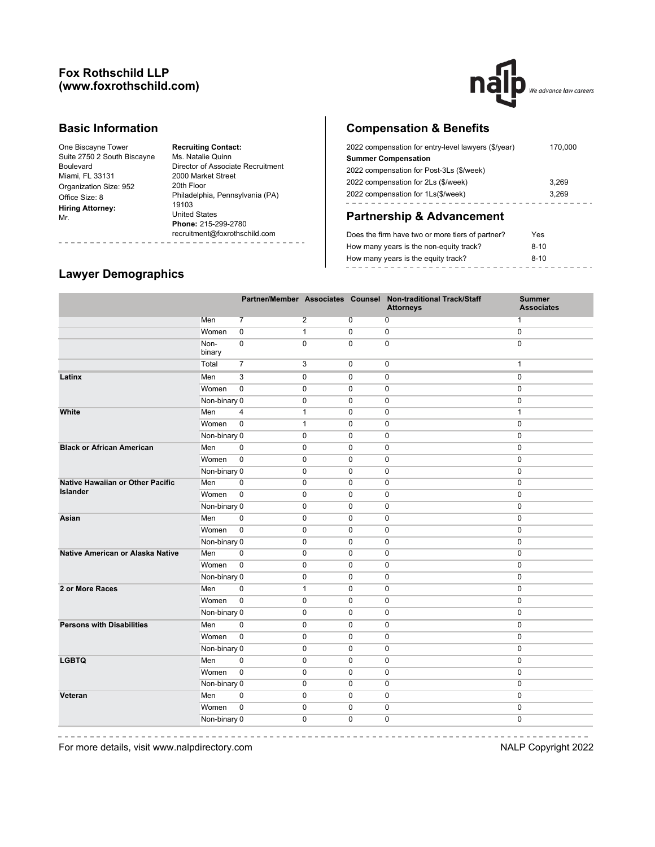## **Fox Rothschild LLP (www.foxrothschild.com)**



## **Basic Information**

| One Biscayne Tower          |
|-----------------------------|
| Suite 2750 2 South Biscayne |
| Boulevard                   |
| Miami, FL 33131             |
| Organization Size: 952      |
| Office Size: 8              |
| <b>Hiring Attorney:</b>     |
| Mr.                         |
|                             |

**Recruiting Contact:** Ms. Natalie Quinn Director of Associate Recruitment 2000 Market Street 20th Floor Philadelphia, Pennsylvania (PA) 19103 United States **Phone:** 215-299-2780 recruitment@foxrothschild.com L.

# **Compensation & Benefits**

| 2022 compensation for entry-level lawyers (\$/year) | 170,000 |
|-----------------------------------------------------|---------|
| <b>Summer Compensation</b>                          |         |
| 2022 compensation for Post-3Ls (\$/week)            |         |
| 2022 compensation for 2Ls (\$/week)                 | 3.269   |
| 2022 compensation for 1Ls(\$/week)                  | 3.269   |
|                                                     |         |

# **Partnership & Advancement**

| Does the firm have two or more tiers of partner? | Yes    |
|--------------------------------------------------|--------|
| How many years is the non-equity track?          | $8-10$ |
| How many years is the equity track?              | $8-10$ |
|                                                  |        |

# **Lawyer Demographics**

|                                         |                |                |                |             | Partner/Member Associates Counsel Non-traditional Track/Staff<br><b>Attorneys</b> | <b>Summer</b><br><b>Associates</b> |
|-----------------------------------------|----------------|----------------|----------------|-------------|-----------------------------------------------------------------------------------|------------------------------------|
|                                         | Men            | $\overline{7}$ | $\overline{2}$ | 0           | 0                                                                                 | $\mathbf{1}$                       |
|                                         | Women          | $\mathbf 0$    | $\mathbf{1}$   | $\mathbf 0$ | $\mathbf 0$                                                                       | $\mathbf 0$                        |
|                                         | Non-<br>binary | $\mathbf 0$    | $\mathbf 0$    | $\mathbf 0$ | $\mathbf 0$                                                                       | $\mathbf 0$                        |
|                                         | Total          | $\overline{7}$ | 3              | $\mathbf 0$ | 0                                                                                 | $\mathbf{1}$                       |
| Latinx                                  | Men            | 3              | $\pmb{0}$      | $\mathbf 0$ | 0                                                                                 | $\mathbf 0$                        |
|                                         | Women          | $\mathbf 0$    | $\mathbf 0$    | $\mathbf 0$ | $\mathbf 0$                                                                       | 0                                  |
|                                         | Non-binary 0   |                | 0              | $\mathbf 0$ | 0                                                                                 | 0                                  |
| White                                   | Men            | 4              | $\mathbf{1}$   | $\mathbf 0$ | $\mathbf 0$                                                                       | $\mathbf{1}$                       |
|                                         | Women          | $\mathbf 0$    | $\mathbf{1}$   | $\mathbf 0$ | $\mathbf 0$                                                                       | $\mathbf 0$                        |
|                                         | Non-binary 0   |                | $\mathbf 0$    | $\mathbf 0$ | $\mathbf 0$                                                                       | 0                                  |
| <b>Black or African American</b>        | Men            | $\mathbf 0$    | $\mathbf 0$    | $\mathbf 0$ | $\mathbf 0$                                                                       | $\mathbf 0$                        |
|                                         | Women          | $\mathsf 0$    | 0              | 0           | 0                                                                                 | $\mathbf 0$                        |
|                                         | Non-binary 0   |                | $\mathbf 0$    | $\mathbf 0$ | 0                                                                                 | $\mathbf 0$                        |
| <b>Native Hawaiian or Other Pacific</b> | Men            | $\mathbf 0$    | $\mathbf 0$    | $\mathbf 0$ | $\mathbf 0$                                                                       | $\mathbf 0$                        |
| <b>Islander</b>                         | Women          | $\mathsf 0$    | 0              | 0           | 0                                                                                 | $\mathbf 0$                        |
|                                         | Non-binary 0   |                | $\mathbf 0$    | $\mathbf 0$ | 0                                                                                 | $\mathbf 0$                        |
| Asian                                   | Men            | $\mathbf 0$    | $\mathbf 0$    | $\mathbf 0$ | $\mathbf 0$                                                                       | $\mathbf 0$                        |
|                                         | Women          | $\mathsf 0$    | $\mathbf 0$    | $\mathbf 0$ | $\mathbf 0$                                                                       | $\mathbf 0$                        |
|                                         | Non-binary 0   |                | $\mathbf 0$    | $\mathbf 0$ | $\mathbf 0$                                                                       | $\mathbf 0$                        |
| Native American or Alaska Native        | Men            | $\mathbf 0$    | $\mathbf 0$    | $\mathbf 0$ | $\mathbf 0$                                                                       | $\mathbf 0$                        |
|                                         | Women          | $\mathbf 0$    | $\mathbf 0$    | $\mathbf 0$ | $\mathbf 0$                                                                       | $\mathbf 0$                        |
|                                         | Non-binary 0   |                | $\mathbf 0$    | $\mathbf 0$ | $\mathbf 0$                                                                       | $\mathbf 0$                        |
| 2 or More Races                         | Men            | $\mathbf 0$    | $\mathbf{1}$   | 0           | 0                                                                                 | $\mathbf 0$                        |
|                                         | Women          | $\mathbf 0$    | $\mathbf 0$    | $\mathbf 0$ | 0                                                                                 | $\mathbf 0$                        |
|                                         | Non-binary 0   |                | $\mathbf 0$    | $\mathbf 0$ | $\mathbf 0$                                                                       | $\mathbf 0$                        |
| <b>Persons with Disabilities</b>        | Men            | $\mathbf 0$    | $\mathbf 0$    | $\mathbf 0$ | 0                                                                                 | 0                                  |
|                                         | Women          | $\pmb{0}$      | $\mathbf 0$    | $\mathbf 0$ | 0                                                                                 | 0                                  |
|                                         | Non-binary 0   |                | $\mathbf 0$    | $\mathbf 0$ | 0                                                                                 | 0                                  |
| <b>LGBTQ</b>                            | Men            | 0              | $\mathbf 0$    | 0           | 0                                                                                 | 0                                  |
|                                         | Women          | $\pmb{0}$      | $\mathbf 0$    | $\mathbf 0$ | 0                                                                                 | 0                                  |
|                                         | Non-binary 0   |                | $\mathbf 0$    | $\mathbf 0$ | 0                                                                                 | $\mathbf 0$                        |
| Veteran                                 | Men            | $\pmb{0}$      | $\mathbf 0$    | $\pmb{0}$   | 0                                                                                 | 0                                  |
|                                         | Women          | $\pmb{0}$      | $\mathbf 0$    | $\pmb{0}$   | $\pmb{0}$                                                                         | 0                                  |
|                                         | Non-binary 0   |                | 0              | $\Omega$    | 0                                                                                 | $\mathbf 0$                        |

For more details, visit www.nalpdirectory.com NALP Copyright 2022

-----------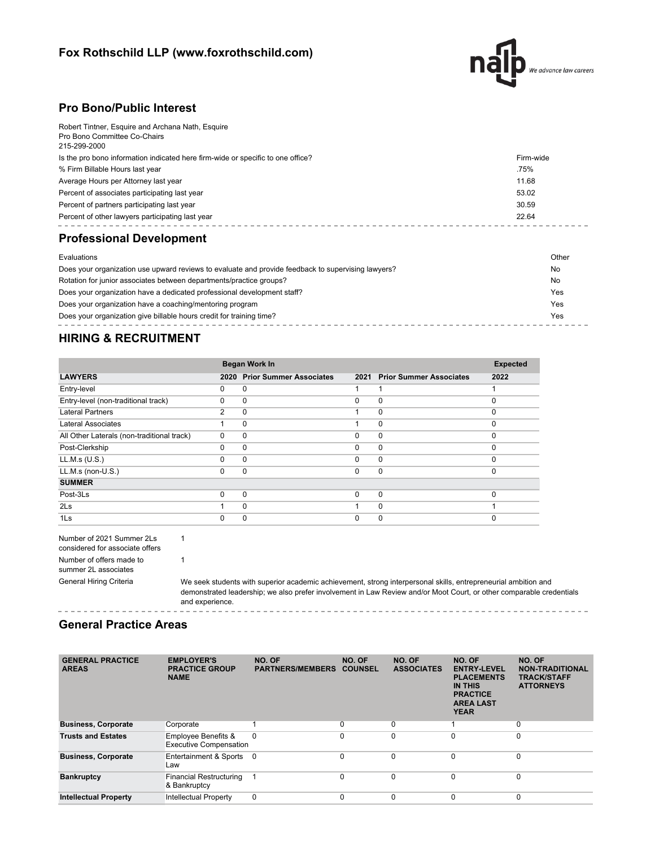# **Fox Rothschild LLP (www.foxrothschild.com)**



## **Pro Bono/Public Interest**

| Robert Tintner, Esquire and Archana Nath, Esquire                               |           |
|---------------------------------------------------------------------------------|-----------|
| Pro Bono Committee Co-Chairs<br>215-299-2000                                    |           |
|                                                                                 |           |
| Is the pro bono information indicated here firm-wide or specific to one office? | Firm-wide |
| % Firm Billable Hours last year                                                 | .75%      |
| Average Hours per Attorney last year                                            | 11.68     |
| Percent of associates participating last year                                   | 53.02     |
| Percent of partners participating last year                                     | 30.59     |
| Percent of other lawyers participating last year                                | 22.64     |
|                                                                                 |           |

# **Professional Development**

| Evaluations                                                                                        | Other |
|----------------------------------------------------------------------------------------------------|-------|
| Does your organization use upward reviews to evaluate and provide feedback to supervising lawyers? | No    |
| Rotation for junior associates between departments/practice groups?                                | No    |
| Does your organization have a dedicated professional development staff?                            | Yes   |
| Does your organization have a coaching/mentoring program                                           | Yes   |
| Does your organization give billable hours credit for training time?                               | Yes   |
|                                                                                                    |       |

# **HIRING & RECRUITMENT**

|                                            | <b>Began Work In</b> | <b>Expected</b>                |          |                                |          |
|--------------------------------------------|----------------------|--------------------------------|----------|--------------------------------|----------|
| <b>LAWYERS</b>                             | 2020                 | <b>Prior Summer Associates</b> | 2021     | <b>Prior Summer Associates</b> | 2022     |
| Entry-level                                | 0                    | 0                              |          |                                |          |
| Entry-level (non-traditional track)        | 0                    | 0                              | $\Omega$ | $\mathbf 0$                    | $\Omega$ |
| <b>Lateral Partners</b>                    | 2                    | 0                              |          | $\mathbf 0$                    | $\Omega$ |
| Lateral Associates                         |                      | 0                              |          | $\mathbf 0$                    | $\Omega$ |
| All Other Laterals (non-traditional track) | $\Omega$             | $\Omega$                       | $\Omega$ | $\mathbf 0$                    | $\Omega$ |
| Post-Clerkship                             | $\Omega$             | $\Omega$                       | $\Omega$ | 0                              | $\Omega$ |
| LL.M.s (U.S.)                              | $\Omega$             | 0                              | $\Omega$ | $\mathbf 0$                    | $\Omega$ |
| LL.M.s (non-U.S.)                          | 0                    | $\Omega$                       | $\Omega$ | $\mathbf 0$                    | $\Omega$ |
| <b>SUMMER</b>                              |                      |                                |          |                                |          |
| Post-3Ls                                   | 0                    | 0                              | $\Omega$ | $\mathbf{0}$                   | $\Omega$ |
| 2 <sub>ls</sub>                            |                      | 0                              |          | $\mathbf 0$                    |          |
| 1 <sub>ls</sub>                            | O                    | 0                              | $\Omega$ | $\mathbf 0$                    | $\Omega$ |

| Number of 2021 Summer 2Ls       |  |  |  |  |
|---------------------------------|--|--|--|--|
| considered for associate offers |  |  |  |  |
| Number of offers made to        |  |  |  |  |
| summer 2L associates            |  |  |  |  |
| General Hiring Criteria         |  |  |  |  |

1

1

We seek students with superior academic achievement, strong interpersonal skills, entrepreneurial ambition and demonstrated leadership; we also prefer involvement in Law Review and/or Moot Court, or other comparable credentials and experience. ------------

## **General Practice Areas**

| <b>GENERAL PRACTICE</b><br><b>AREAS</b> | <b>EMPLOYER'S</b><br><b>PRACTICE GROUP</b><br><b>NAME</b> | NO. OF<br><b>PARTNERS/MEMBERS</b> | NO. OF<br><b>COUNSEL</b> | NO. OF<br><b>ASSOCIATES</b> | NO. OF<br><b>ENTRY-LEVEL</b><br><b>PLACEMENTS</b><br><b>IN THIS</b><br><b>PRACTICE</b><br><b>AREA LAST</b><br><b>YEAR</b> | NO. OF<br><b>NON-TRADITIONAL</b><br><b>TRACK/STAFF</b><br><b>ATTORNEYS</b> |
|-----------------------------------------|-----------------------------------------------------------|-----------------------------------|--------------------------|-----------------------------|---------------------------------------------------------------------------------------------------------------------------|----------------------------------------------------------------------------|
| <b>Business, Corporate</b>              | Corporate                                                 |                                   | $\mathbf 0$              | $\Omega$                    |                                                                                                                           | $\mathbf 0$                                                                |
| <b>Trusts and Estates</b>               | Employee Benefits &<br><b>Executive Compensation</b>      | $\Omega$                          | $\Omega$                 | $\Omega$                    | 0                                                                                                                         | $\mathbf 0$                                                                |
| <b>Business, Corporate</b>              | Entertainment & Sports<br>Law                             | - 0                               | $\Omega$                 | $\Omega$                    | $\Omega$                                                                                                                  | $\Omega$                                                                   |
| <b>Bankruptcy</b>                       | <b>Financial Restructuring</b><br>& Bankruptcy            |                                   | $\Omega$                 | $\Omega$                    | $\Omega$                                                                                                                  | $\mathbf 0$                                                                |
| <b>Intellectual Property</b>            | <b>Intellectual Property</b>                              | 0                                 | $\Omega$                 | $\Omega$                    | $\Omega$                                                                                                                  | $\mathbf 0$                                                                |